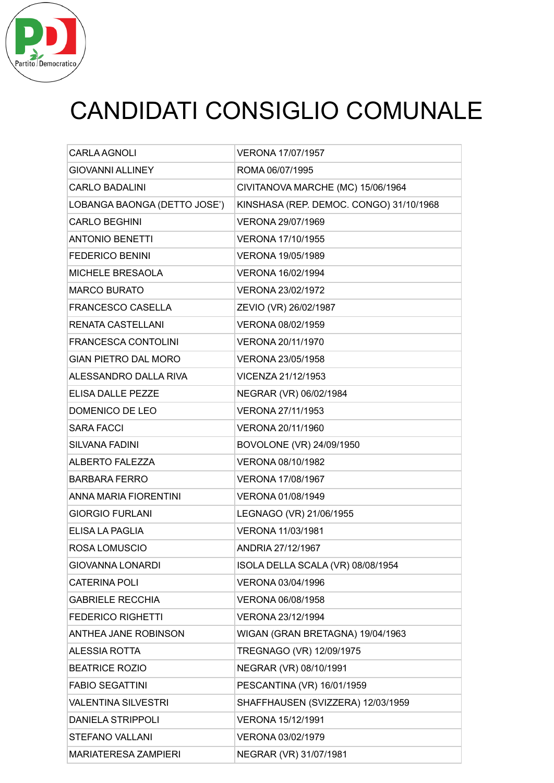

# CANDIDATI CONSIGLIO COMUNALE

| <b>CARLA AGNOLI</b>          | <b>VERONA 17/07/1957</b>                |
|------------------------------|-----------------------------------------|
| <b>GIOVANNI ALLINEY</b>      | ROMA 06/07/1995                         |
| <b>CARLO BADALINI</b>        | CIVITANOVA MARCHE (MC) 15/06/1964       |
| LOBANGA BAONGA (DETTO JOSE') | KINSHASA (REP. DEMOC. CONGO) 31/10/1968 |
| <b>CARLO BEGHINI</b>         | VERONA 29/07/1969                       |
| <b>ANTONIO BENETTI</b>       | VERONA 17/10/1955                       |
| <b>FEDERICO BENINI</b>       | VERONA 19/05/1989                       |
| MICHELE BRESAOLA             | VERONA 16/02/1994                       |
| <b>MARCO BURATO</b>          | VERONA 23/02/1972                       |
| <b>FRANCESCO CASELLA</b>     | ZEVIO (VR) 26/02/1987                   |
| <b>RENATA CASTELLANI</b>     | VERONA 08/02/1959                       |
| <b>FRANCESCA CONTOLINI</b>   | VERONA 20/11/1970                       |
| <b>GIAN PIETRO DAL MORO</b>  | VERONA 23/05/1958                       |
| ALESSANDRO DALLA RIVA        | VICENZA 21/12/1953                      |
| FLISA DALLE PEZZE            | NEGRAR (VR) 06/02/1984                  |
| DOMENICO DE LEO              | VERONA 27/11/1953                       |
| <b>SARA FACCI</b>            | VERONA 20/11/1960                       |
| <b>SILVANA FADINI</b>        | BOVOLONE (VR) 24/09/1950                |
| <b>ALBERTO FALEZZA</b>       | VERONA 08/10/1982                       |
| <b>BARBARA FERRO</b>         | VERONA 17/08/1967                       |
| ANNA MARIA FIORENTINI        | VERONA 01/08/1949                       |
| <b>GIORGIO FURLANI</b>       | LEGNAGO (VR) 21/06/1955                 |
| ELISA LA PAGLIA              | VERONA 11/03/1981                       |
| ROSA LOMUSCIO                | ANDRIA 27/12/1967                       |
| GIOVANNA LONARDI             | ISOLA DELLA SCALA (VR) 08/08/1954       |
| <b>CATERINA POLI</b>         | VERONA 03/04/1996                       |
| <b>GABRIELE RECCHIA</b>      | VERONA 06/08/1958                       |
| <b>FEDERICO RIGHETTI</b>     | VERONA 23/12/1994                       |
| ANTHEA JANE ROBINSON         | WIGAN (GRAN BRETAGNA) 19/04/1963        |
| <b>ALESSIA ROTTA</b>         | TREGNAGO (VR) 12/09/1975                |
| <b>BEATRICE ROZIO</b>        | NEGRAR (VR) 08/10/1991                  |
| <b>FABIO SEGATTINI</b>       | PESCANTINA (VR) 16/01/1959              |
| <b>VALENTINA SILVESTRI</b>   | SHAFFHAUSEN (SVIZZERA) 12/03/1959       |
| <b>DANIELA STRIPPOLI</b>     | VERONA 15/12/1991                       |
| STEFANO VALLANI              | VERONA 03/02/1979                       |
| <b>MARIATERESA ZAMPIERI</b>  | NEGRAR (VR) 31/07/1981                  |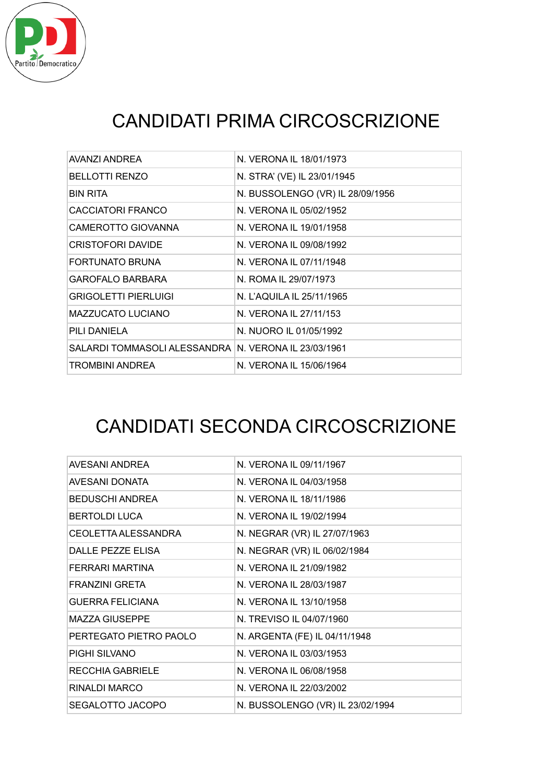

## CANDIDATI PRIMA CIRCOSCRIZIONE

| AVANZI ANDREA                                        | N. VERONA IL 18/01/1973          |
|------------------------------------------------------|----------------------------------|
| <b>BELLOTTI RENZO</b>                                | N. STRA' (VE) IL 23/01/1945      |
| <b>BIN RITA</b>                                      | N. BUSSOLENGO (VR) IL 28/09/1956 |
| CACCIATORI FRANCO                                    | N. VERONA IL 05/02/1952          |
| CAMEROTTO GIOVANNA                                   | N. VERONA IL 19/01/1958          |
| <b>CRISTOFORI DAVIDE</b>                             | N. VERONA IL 09/08/1992          |
| FORTUNATO BRUNA                                      | N. VERONA IL 07/11/1948          |
| <b>GAROFALO BARBARA</b>                              | N. ROMA IL 29/07/1973            |
| <b>GRIGOLETTI PIERLUIGI</b>                          | N. L'AQUILA IL 25/11/1965        |
| <b>MAZZUCATO LUCIANO</b>                             | N. VERONA IL 27/11/153           |
| PILI DANIELA                                         | N. NUORO IL 01/05/1992           |
| SALARDI TOMMASOLI ALESSANDRA N. VERONA IL 23/03/1961 |                                  |
| TROMBINI ANDREA                                      | N. VERONA IL 15/06/1964          |

#### CANDIDATI SECONDA CIRCOSCRIZIONE

| AVESANI ANDREA          | N. VERONA IL 09/11/1967          |
|-------------------------|----------------------------------|
| AVESANI DONATA          | N. VERONA IL 04/03/1958          |
| <b>BEDUSCHI ANDREA</b>  | N. VERONA IL 18/11/1986          |
| <b>BERTOLDI LUCA</b>    | N. VERONA IL 19/02/1994          |
| CEOLETTA ALESSANDRA     | N. NEGRAR (VR) IL 27/07/1963     |
| DALLE PEZZE FLISA       | N. NEGRAR (VR) IL 06/02/1984     |
| FERRARI MARTINA         | N. VERONA IL 21/09/1982          |
| FRANZINI GRETA          | N. VERONA IL 28/03/1987          |
| <b>GUERRA FELICIANA</b> | N. VERONA IL 13/10/1958          |
| <b>MAZZA GIUSEPPE</b>   | N. TREVISO IL 04/07/1960         |
| PERTEGATO PIETRO PAOLO  | N. ARGENTA (FE) IL 04/11/1948    |
| PIGHI SILVANO           | N. VERONA IL 03/03/1953          |
| RECCHIA GABRIELE        | N. VERONA IL 06/08/1958          |
| RINALDI MARCO           | N. VERONA IL 22/03/2002          |
| SEGALOTTO JACOPO        | N. BUSSOLENGO (VR) IL 23/02/1994 |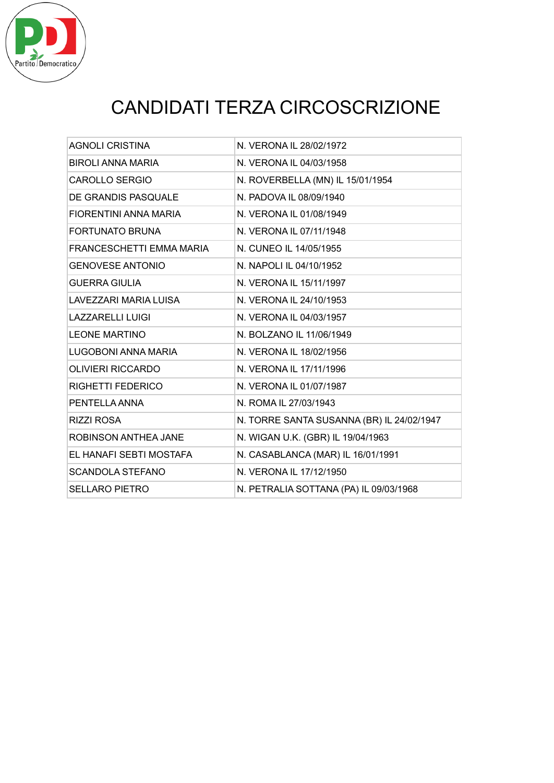

# CANDIDATI TERZA CIRCOSCRIZIONE

| <b>AGNOLI CRISTINA</b>   | N. VERONA IL 28/02/1972                   |
|--------------------------|-------------------------------------------|
| <b>BIROLI ANNA MARIA</b> | N. VERONA IL 04/03/1958                   |
| <b>CAROLLO SERGIO</b>    | N. ROVERBELLA (MN) IL 15/01/1954          |
| DE GRANDIS PASQUALE      | N. PADOVA IL 08/09/1940                   |
| FIORENTINI ANNA MARIA    | N. VERONA IL 01/08/1949                   |
| <b>FORTUNATO BRUNA</b>   | N. VERONA IL 07/11/1948                   |
| FRANCESCHETTI EMMA MARIA | N. CUNEO IL 14/05/1955                    |
| <b>GENOVESE ANTONIO</b>  | N. NAPOLI IL 04/10/1952                   |
| <b>GUERRA GIULIA</b>     | N. VERONA IL 15/11/1997                   |
| LAVEZZARI MARIA LUISA    | N. VERONA IL 24/10/1953                   |
| <b>LAZZARELLI LUIGI</b>  | N. VERONA IL 04/03/1957                   |
| <b>LEONE MARTINO</b>     | N. BOLZANO IL 11/06/1949                  |
| LUGOBONI ANNA MARIA      | N. VERONA IL 18/02/1956                   |
| <b>OLIVIERI RICCARDO</b> | N. VERONA IL 17/11/1996                   |
| <b>RIGHETTI FEDERICO</b> | N. VERONA IL 01/07/1987                   |
| PENTELLA ANNA            | N. ROMA IL 27/03/1943                     |
| <b>RIZZI ROSA</b>        | N. TORRE SANTA SUSANNA (BR) IL 24/02/1947 |
| ROBINSON ANTHEA JANE     | N. WIGAN U.K. (GBR) IL 19/04/1963         |
| EL HANAFI SEBTI MOSTAFA  | N. CASABLANCA (MAR) IL 16/01/1991         |
| <b>SCANDOLA STEFANO</b>  | N. VERONA IL 17/12/1950                   |
| <b>SELLARO PIETRO</b>    | N. PETRALIA SOTTANA (PA) IL 09/03/1968    |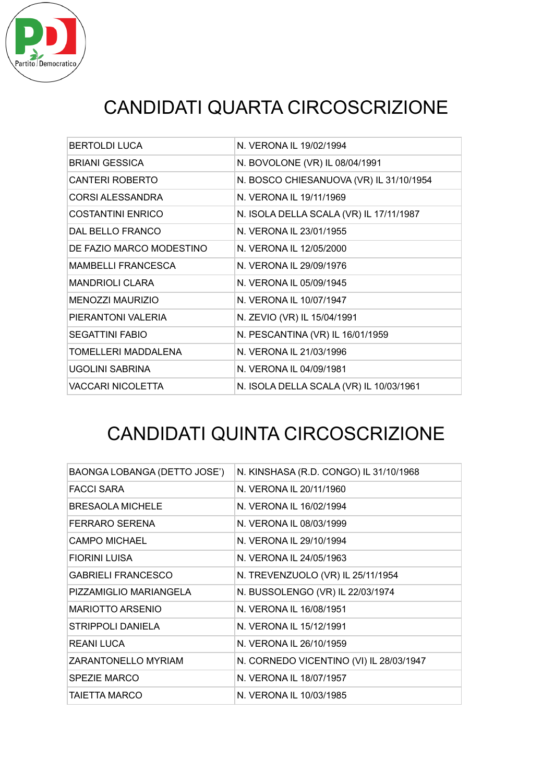

# CANDIDATI QUARTA CIRCOSCRIZIONE

| BERTOLDI LUCA             | N. VERONA IL 19/02/1994                 |
|---------------------------|-----------------------------------------|
| <b>BRIANI GESSICA</b>     | N. BOVOLONE (VR) IL 08/04/1991          |
| <b>CANTERI ROBERTO</b>    | N. BOSCO CHIESANUOVA (VR) IL 31/10/1954 |
| <b>CORSI ALESSANDRA</b>   | N. VERONA IL 19/11/1969                 |
| <b>COSTANTINI ENRICO</b>  | N. ISOLA DELLA SCALA (VR) IL 17/11/1987 |
| DAL BELLO FRANCO          | N. VERONA IL 23/01/1955                 |
| DE FAZIO MARCO MODESTINO  | N. VERONA IL 12/05/2000                 |
| <b>MAMBELLI FRANCESCA</b> | N. VERONA IL 29/09/1976                 |
| <b>MANDRIOLI CLARA</b>    | N. VERONA IL 05/09/1945                 |
| <b>MENOZZI MAURIZIO</b>   | N. VERONA IL 10/07/1947                 |
| PIERANTONI VALERIA        | N. ZEVIO (VR) IL 15/04/1991             |
| <b>SEGATTINI FABIO</b>    | N. PESCANTINA (VR) IL 16/01/1959        |
| TOMELLERI MADDALENA       | N. VERONA IL 21/03/1996                 |
| UGOLINI SABRINA           | N. VERONA IL 04/09/1981                 |
| <b>VACCARI NICOLETTA</b>  | N. ISOLA DELLA SCALA (VR) IL 10/03/1961 |

#### CANDIDATI QUINTA CIRCOSCRIZIONE

| BAONGA LOBANGA (DETTO JOSE') | N. KINSHASA (R.D. CONGO) IL 31/10/1968  |
|------------------------------|-----------------------------------------|
| <b>FACCI SARA</b>            | N. VERONA IL 20/11/1960                 |
| <b>BRESAOLA MICHELE</b>      | N. VERONA IL 16/02/1994                 |
| FERRARO SERENA               | N. VERONA IL 08/03/1999                 |
| CAMPO MICHAEL                | N. VERONA IL 29/10/1994                 |
| <b>FIORINI LUISA</b>         | N. VERONA IL 24/05/1963                 |
| <b>GABRIELI FRANCESCO</b>    | N. TREVENZUOLO (VR) IL 25/11/1954       |
| PIZZAMIGLIO MARIANGELA       | N. BUSSOLENGO (VR) IL 22/03/1974        |
| <b>MARIOTTO ARSENIO</b>      | N. VERONA IL 16/08/1951                 |
| STRIPPOLI DANIELA            | N. VERONA IL 15/12/1991                 |
| <b>REANI LUCA</b>            | N. VERONA IL 26/10/1959                 |
| ZARANTONELLO MYRIAM          | N. CORNEDO VICENTINO (VI) IL 28/03/1947 |
| <b>SPEZIE MARCO</b>          | N. VERONA IL 18/07/1957                 |
| TAIETTA MARCO                | N. VERONA IL 10/03/1985                 |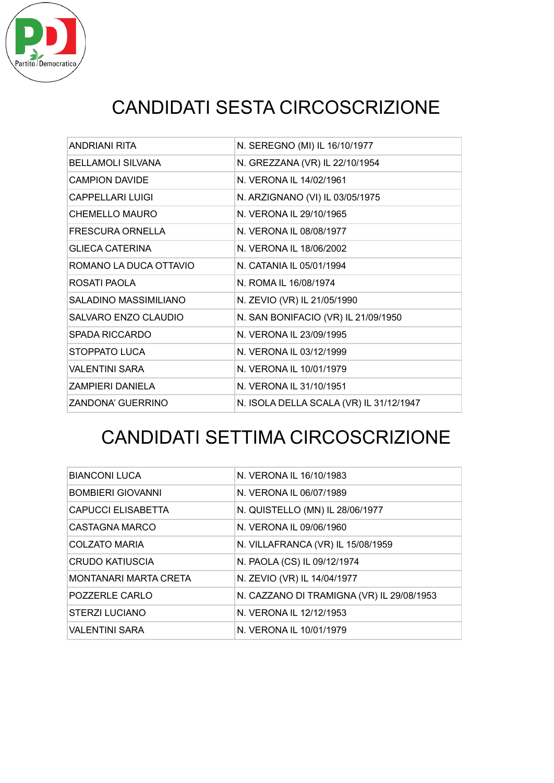

# CANDIDATI SESTA CIRCOSCRIZIONE

| ANDRIANI RITA            | N. SEREGNO (MI) IL 16/10/1977           |
|--------------------------|-----------------------------------------|
| <b>BELLAMOLI SILVANA</b> | N. GREZZANA (VR) IL 22/10/1954          |
| <b>CAMPION DAVIDE</b>    | N. VERONA IL 14/02/1961                 |
| CAPPELLARI LUIGI         | N. ARZIGNANO (VI) IL 03/05/1975         |
| <b>CHEMELLO MAURO</b>    | N. VERONA IL 29/10/1965                 |
| <b>FRESCURA ORNELLA</b>  | N. VERONA IL 08/08/1977                 |
| <b>GLIECA CATERINA</b>   | N. VERONA IL 18/06/2002                 |
| ROMANO LA DUCA OTTAVIO   | N. CATANIA IL 05/01/1994                |
| ROSATI PAOLA             | N. ROMA IL 16/08/1974                   |
| SALADINO MASSIMILIANO    | N. ZEVIO (VR) IL 21/05/1990             |
| SALVARO ENZO CLAUDIO     | N. SAN BONIFACIO (VR) IL 21/09/1950     |
| <b>SPADA RICCARDO</b>    | N. VERONA IL 23/09/1995                 |
| <b>STOPPATO LUCA</b>     | N. VERONA IL 03/12/1999                 |
| <b>VALENTINI SARA</b>    | N. VERONA IL 10/01/1979                 |
| ZAMPIERI DANIELA         | N. VERONA IL 31/10/1951                 |
| <b>ZANDONA' GUERRINO</b> | N. ISOLA DELLA SCALA (VR) IL 31/12/1947 |

## CANDIDATI SETTIMA CIRCOSCRIZIONE

| <b>BIANCONI LUCA</b>         | N. VERONA IL 16/10/1983                   |
|------------------------------|-------------------------------------------|
| <b>BOMBIERI GIOVANNI</b>     | N. VERONA IL 06/07/1989                   |
| CAPUCCI ELISABETTA           | N. QUISTELLO (MN) IL 28/06/1977           |
| CASTAGNA MARCO               | N. VERONA IL 09/06/1960                   |
| <b>COLZATO MARIA</b>         | N. VILLAFRANCA (VR) IL 15/08/1959         |
| CRUDO KATIUSCIA              | N. PAOLA (CS) IL 09/12/1974               |
| <b>MONTANARI MARTA CRETA</b> | N. ZEVIO (VR) IL 14/04/1977               |
| POZZERLE CARLO               | N. CAZZANO DI TRAMIGNA (VR) IL 29/08/1953 |
| STERZI LUCIANO               | N. VERONA IL 12/12/1953                   |
| <b>VALENTINI SARA</b>        | N. VERONA IL 10/01/1979                   |